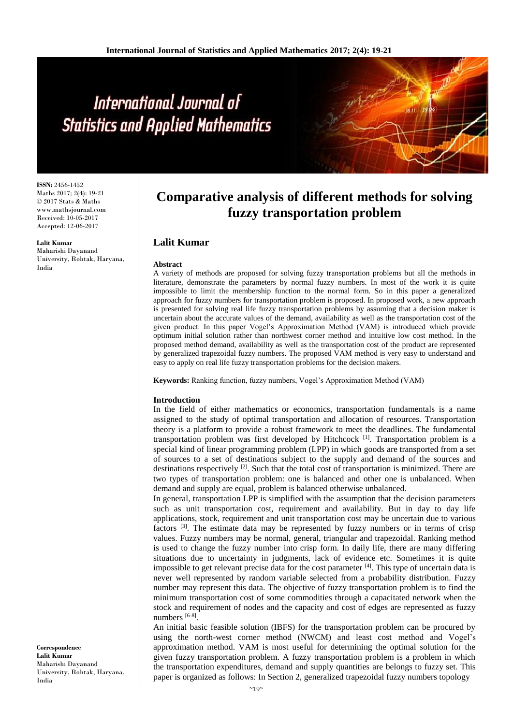# International Journal of **Statistics and Applied Mathematics**

**ISSN:** 2456-1452 Maths 2017; 2(4): 19-21 © 2017 Stats & Maths www.mathsjournal.com Received: 10-05-2017 Accepted: 12-06-2017

**Lalit Kumar** Maharishi Dayanand University, Rohtak, Haryana, India

**Comparative analysis of different methods for solving fuzzy transportation problem**

## **Lalit Kumar**

#### **Abstract**

A variety of methods are proposed for solving fuzzy transportation problems but all the methods in literature, demonstrate the parameters by normal fuzzy numbers. In most of the work it is quite impossible to limit the membership function to the normal form. So in this paper a generalized approach for fuzzy numbers for transportation problem is proposed. In proposed work, a new approach is presented for solving real life fuzzy transportation problems by assuming that a decision maker is uncertain about the accurate values of the demand, availability as well as the transportation cost of the given product. In this paper Vogel's Approximation Method (VAM) is introduced which provide optimum initial solution rather than northwest corner method and intuitive low cost method. In the proposed method demand, availability as well as the transportation cost of the product are represented by generalized trapezoidal fuzzy numbers. The proposed VAM method is very easy to understand and easy to apply on real life fuzzy transportation problems for the decision makers.

**Keywords:** Ranking function, fuzzy numbers, Vogel's Approximation Method (VAM)

## **Introduction**

In the field of either mathematics or economics, transportation fundamentals is a name assigned to the study of optimal transportation and allocation of resources. Transportation theory is a platform to provide a robust framework to meet the deadlines. The fundamental transportation problem was first developed by Hitchcock [1]. Transportation problem is a special kind of linear programming problem (LPP) in which goods are transported from a set of sources to a set of destinations subject to the supply and demand of the sources and destinations respectively  $[2]$ . Such that the total cost of transportation is minimized. There are two types of transportation problem: one is balanced and other one is unbalanced. When demand and supply are equal, problem is balanced otherwise unbalanced.

In general, transportation LPP is simplified with the assumption that the decision parameters such as unit transportation cost, requirement and availability. But in day to day life applications, stock, requirement and unit transportation cost may be uncertain due to various factors [3]. The estimate data may be represented by fuzzy numbers or in terms of crisp values. Fuzzy numbers may be normal, general, triangular and trapezoidal. Ranking method is used to change the fuzzy number into crisp form. In daily life, there are many differing situations due to uncertainty in judgments, lack of evidence etc. Sometimes it is quite impossible to get relevant precise data for the cost parameter  $[4]$ . This type of uncertain data is never well represented by random variable selected from a probability distribution. Fuzzy number may represent this data. The objective of fuzzy transportation problem is to find the minimum transportation cost of some commodities through a capacitated network when the stock and requirement of nodes and the capacity and cost of edges are represented as fuzzy numbers [6-8].

An initial basic feasible solution (IBFS) for the transportation problem can be procured by using the north-west corner method (NWCM) and least cost method and Vogel's approximation method. VAM is most useful for determining the optimal solution for the given fuzzy transportation problem. A fuzzy transportation problem is a problem in which the transportation expenditures, demand and supply quantities are belongs to fuzzy set. This paper is organized as follows: In Section 2, generalized trapezoidal fuzzy numbers topology

**Correspondence Lalit Kumar** Maharishi Dayanand University, Rohtak, Haryana, India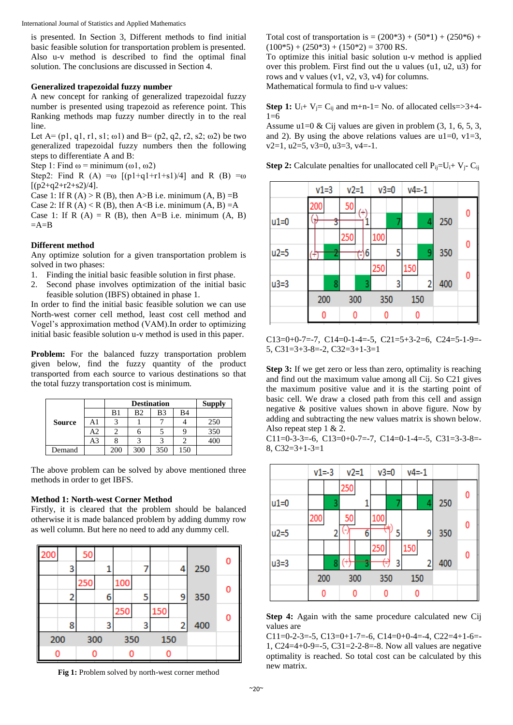International Journal of Statistics and Applied Mathematics

is presented. In Section 3, Different methods to find initial basic feasible solution for transportation problem is presented. Also u-v method is described to find the optimal final solution. The conclusions are discussed in Section 4.

## **Generalized trapezoidal fuzzy number**

A new concept for ranking of generalized trapezoidal fuzzy number is presented using trapezoid as reference point. This Ranking methods map fuzzy number directly in to the real line.

Let  $A = (p1, q1, r1, s1; \omega 1)$  and  $B = (p2, q2, r2, s2; \omega 2)$  be two generalized trapezoidal fuzzy numbers then the following steps to differentiate A and B:

Step 1: Find  $\omega$  = minimum ( $\omega$ 1,  $\omega$ 2)

Step2: Find R (A) =ω  $[(p1+q1+r1+s1)/4]$  and R (B) =ω  $[(p2+q2+r2+s2)/4]$ .

Case 1: If R  $(A) > R$  (B), then A  $>B$  i.e. minimum  $(A, B) = B$ 

Case 2: If R  $(A) < R$  (B), then A<B i.e. minimum  $(A, B) = A$ 

Case 1: If R  $(A) = R$   $(B)$ , then A=B i.e. minimum  $(A, B)$  $=$ A $=$ B

## **Different method**

Any optimize solution for a given transportation problem is solved in two phases:

- 1. Finding the initial basic feasible solution in first phase.
- 2. Second phase involves optimization of the initial basic feasible solution (IBFS) obtained in phase 1.

In order to find the initial basic feasible solution we can use North-west corner cell method, least cost cell method and Vogel's approximation method (VAM).In order to optimizing initial basic feasible solution u-v method is used in this paper.

**Problem:** For the balanced fuzzy transportation problem given below, find the fuzzy quantity of the product transported from each source to various destinations so that the total fuzzy transportation cost is minimum.

|               |    |     | <b>Supply</b> |     |    |     |
|---------------|----|-----|---------------|-----|----|-----|
|               |    | B1  | B2            | B3  | B4 |     |
| <b>Source</b> | A1 |     |               |     |    | 250 |
|               | А2 |     |               |     |    | 350 |
|               | A3 |     |               |     |    | 400 |
| Demand        |    | 200 | 300           | 350 | 50 |     |

The above problem can be solved by above mentioned three methods in order to get IBFS.

## **Method 1: North-west Corner Method**

Firstly, it is cleared that the problem should be balanced otherwise it is made balanced problem by adding dummy row as well column. But here no need to add any dummy cell.



**Fig 1:** Problem solved by north-west corner method

Total cost of transportation is =  $(200*3) + (50*1) + (250*6) +$  $(100*5) + (250*3) + (150*2) = 3700$  RS.

To optimize this initial basic solution u-v method is applied over this problem. First find out the u values (u1, u2, u3) for rows and v values (v1, v2, v3, v4) for columns. Mathematical formula to find u-v values:

**Step 1:**  $U_i + V_j = C_{ij}$  and m+n-1= No. of allocated cells=>3+4-

 $1=6$ Assume  $u1=0$  & Cij values are given in problem  $(3, 1, 6, 5, 3, ...)$ and 2). By using the above relations values are  $u1=0$ ,  $v1=3$ ,  $v2=1$ ,  $u2=5$ ,  $v3=0$ ,  $u3=3$ ,  $v4=-1$ .

**Step 2:** Calculate penalties for unallocated cell  $P_{ij} = U_i + V_j - C_{ij}$ 



 $C13=0+0-7=-7$ ,  $C14=0-1-4=-5$ ,  $C21=5+3-2=6$ ,  $C24=5-1-9=$ 5, C31=3+3-8=-2, C32=3+1-3=1

**Step 3:** If we get zero or less than zero, optimality is reaching and find out the maximum value among all Cij. So C21 gives the maximum positive value and it is the starting point of basic cell. We draw a closed path from this cell and assign negative & positive values shown in above figure. Now by adding and subtracting the new values matrix is shown below. Also repeat step 1 & 2.

C11=0-3-3=-6, C13=0+0-7=-7, C14=0-1-4=-5, C31=3-3-8=-8, C32=3+1-3=1



**Step 4:** Again with the same procedure calculated new Cij values are

C11=0-2-3=-5, C13=0+1-7=-6, C14=0+0-4=-4, C22=4+1-6=-1, C24=4+0-9=-5, C31=2-2-8=-8. Now all values are negative optimality is reached. So total cost can be calculated by this new matrix.